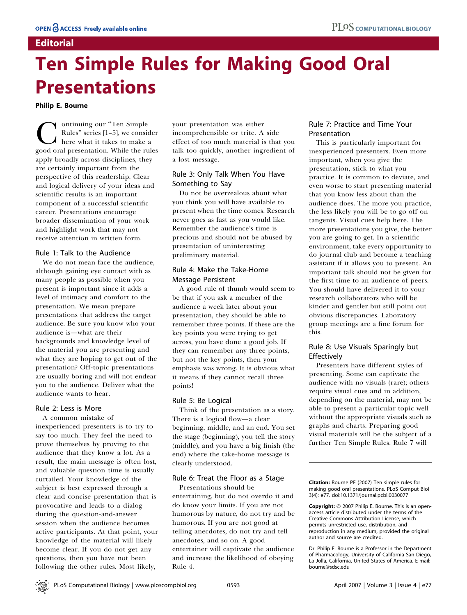# **Editorial**

# Ten Simple Rules for Making Good Oral Presentations

Philip E. Bourne

Continuing our "Ten Simple<br>Rules" series [1-5], we consider<br>good oral presentation. While the rules Rules'' series [1–5], we consider here what it takes to make a apply broadly across disciplines, they are certainly important from the perspective of this readership. Clear and logical delivery of your ideas and scientific results is an important component of a successful scientific career. Presentations encourage broader dissemination of your work and highlight work that may not receive attention in written form.

#### Rule 1: Talk to the Audience

We do not mean face the audience, although gaining eye contact with as many people as possible when you present is important since it adds a level of intimacy and comfort to the presentation. We mean prepare presentations that address the target audience. Be sure you know who your audience is—what are their backgrounds and knowledge level of the material you are presenting and what they are hoping to get out of the presentation? Off-topic presentations are usually boring and will not endear you to the audience. Deliver what the audience wants to hear.

#### Rule 2: Less is More

A common mistake of inexperienced presenters is to try to say too much. They feel the need to prove themselves by proving to the audience that they know a lot. As a result, the main message is often lost, and valuable question time is usually curtailed. Your knowledge of the subject is best expressed through a clear and concise presentation that is provocative and leads to a dialog during the question-and-answer session when the audience becomes active participants. At that point, your knowledge of the material will likely become clear. If you do not get any questions, then you have not been following the other rules. Most likely,

your presentation was either incomprehensible or trite. A side effect of too much material is that you talk too quickly, another ingredient of a lost message.

## Rule 3: Only Talk When You Have Something to Say

Do not be overzealous about what you think you will have available to present when the time comes. Research never goes as fast as you would like. Remember the audience's time is precious and should not be abused by presentation of uninteresting preliminary material.

#### Rule 4: Make the Take-Home Message Persistent

A good rule of thumb would seem to be that if you ask a member of the audience a week later about your presentation, they should be able to remember three points. If these are the key points you were trying to get across, you have done a good job. If they can remember any three points, but not the key points, then your emphasis was wrong. It is obvious what it means if they cannot recall three points!

#### Rule 5: Be Logical

Think of the presentation as a story. There is a logical flow—a clear beginning, middle, and an end. You set the stage (beginning), you tell the story (middle), and you have a big finish (the end) where the take-home message is clearly understood.

#### Rule 6: Treat the Floor as a Stage

Presentations should be entertaining, but do not overdo it and do know your limits. If you are not humorous by nature, do not try and be humorous. If you are not good at telling anecdotes, do not try and tell anecdotes, and so on. A good entertainer will captivate the audience and increase the likelihood of obeying Rule 4.

#### Rule 7: Practice and Time Your Presentation

This is particularly important for inexperienced presenters. Even more important, when you give the presentation, stick to what you practice. It is common to deviate, and even worse to start presenting material that you know less about than the audience does. The more you practice, the less likely you will be to go off on tangents. Visual cues help here. The more presentations you give, the better you are going to get. In a scientific environment, take every opportunity to do journal club and become a teaching assistant if it allows you to present. An important talk should not be given for the first time to an audience of peers. You should have delivered it to your research collaborators who will be kinder and gentler but still point out obvious discrepancies. Laboratory group meetings are a fine forum for this.

#### Rule 8: Use Visuals Sparingly but **Effectively**

Presenters have different styles of presenting. Some can captivate the audience with no visuals (rare); others require visual cues and in addition, depending on the material, may not be able to present a particular topic well without the appropriate visuals such as graphs and charts. Preparing good visual materials will be the subject of a further Ten Simple Rules. Rule 7 will

Citation: Bourne PE (2007) Ten simple rules for making good oral presentations. PLoS Comput Biol 3(4): e77. doi:10.1371/journal.pcbi.0030077

Copyright: © 2007 Philip E. Bourne. This is an openaccess article distributed under the terms of the Creative Commons Attribution License, which permits unrestricted use, distribution, and reproduction in any medium, provided the original author and source are credited.

Dr. Philip E. Bourne is a Professor in the Department of Pharmacology, University of California San Diego, La Jolla, California, United States of America. E-mail: bourne@sdsc.edu